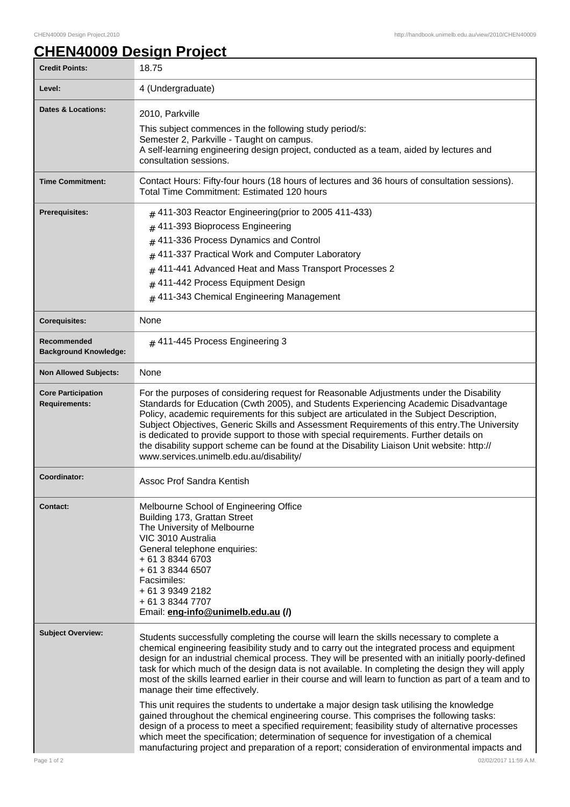## **CHEN40009 Design Project**

| <b>Credit Points:</b>                             | 18.75                                                                                                                                                                                                                                                                                                                                                                                                                                                                                                                                                                                                                                                                                                                                                                                                                                                                                                                                                                                                                                 |
|---------------------------------------------------|---------------------------------------------------------------------------------------------------------------------------------------------------------------------------------------------------------------------------------------------------------------------------------------------------------------------------------------------------------------------------------------------------------------------------------------------------------------------------------------------------------------------------------------------------------------------------------------------------------------------------------------------------------------------------------------------------------------------------------------------------------------------------------------------------------------------------------------------------------------------------------------------------------------------------------------------------------------------------------------------------------------------------------------|
| Level:                                            | 4 (Undergraduate)                                                                                                                                                                                                                                                                                                                                                                                                                                                                                                                                                                                                                                                                                                                                                                                                                                                                                                                                                                                                                     |
| <b>Dates &amp; Locations:</b>                     | 2010, Parkville<br>This subject commences in the following study period/s:<br>Semester 2, Parkville - Taught on campus.<br>A self-learning engineering design project, conducted as a team, aided by lectures and<br>consultation sessions.                                                                                                                                                                                                                                                                                                                                                                                                                                                                                                                                                                                                                                                                                                                                                                                           |
| <b>Time Commitment:</b>                           | Contact Hours: Fifty-four hours (18 hours of lectures and 36 hours of consultation sessions).<br>Total Time Commitment: Estimated 120 hours                                                                                                                                                                                                                                                                                                                                                                                                                                                                                                                                                                                                                                                                                                                                                                                                                                                                                           |
| <b>Prerequisites:</b>                             | $#$ 411-303 Reactor Engineering(prior to 2005 411-433)<br>411-393 Bioprocess Engineering<br>#<br>$#$ 411-336 Process Dynamics and Control<br>411-337 Practical Work and Computer Laboratory<br>#<br>411-441 Advanced Heat and Mass Transport Processes 2<br>411-442 Process Equipment Design<br>#<br>$#$ 411-343 Chemical Engineering Management                                                                                                                                                                                                                                                                                                                                                                                                                                                                                                                                                                                                                                                                                      |
| <b>Corequisites:</b>                              | None                                                                                                                                                                                                                                                                                                                                                                                                                                                                                                                                                                                                                                                                                                                                                                                                                                                                                                                                                                                                                                  |
| Recommended<br><b>Background Knowledge:</b>       | # 411-445 Process Engineering 3                                                                                                                                                                                                                                                                                                                                                                                                                                                                                                                                                                                                                                                                                                                                                                                                                                                                                                                                                                                                       |
| <b>Non Allowed Subjects:</b>                      | None                                                                                                                                                                                                                                                                                                                                                                                                                                                                                                                                                                                                                                                                                                                                                                                                                                                                                                                                                                                                                                  |
| <b>Core Participation</b><br><b>Requirements:</b> | For the purposes of considering request for Reasonable Adjustments under the Disability<br>Standards for Education (Cwth 2005), and Students Experiencing Academic Disadvantage<br>Policy, academic requirements for this subject are articulated in the Subject Description,<br>Subject Objectives, Generic Skills and Assessment Requirements of this entry. The University<br>is dedicated to provide support to those with special requirements. Further details on<br>the disability support scheme can be found at the Disability Liaison Unit website: http://<br>www.services.unimelb.edu.au/disability/                                                                                                                                                                                                                                                                                                                                                                                                                      |
| Coordinator:                                      | Assoc Prof Sandra Kentish                                                                                                                                                                                                                                                                                                                                                                                                                                                                                                                                                                                                                                                                                                                                                                                                                                                                                                                                                                                                             |
| <b>Contact:</b>                                   | Melbourne School of Engineering Office<br>Building 173, Grattan Street<br>The University of Melbourne<br>VIC 3010 Australia<br>General telephone enquiries:<br>+ 61 3 8344 6703<br>+ 61 3 8344 6507<br>Facsimiles:<br>+ 61 3 9349 2182<br>+ 61 3 8344 7707<br>Email: eng-info@unimelb.edu.au (/)                                                                                                                                                                                                                                                                                                                                                                                                                                                                                                                                                                                                                                                                                                                                      |
| <b>Subject Overview:</b>                          | Students successfully completing the course will learn the skills necessary to complete a<br>chemical engineering feasibility study and to carry out the integrated process and equipment<br>design for an industrial chemical process. They will be presented with an initially poorly-defined<br>task for which much of the design data is not available. In completing the design they will apply<br>most of the skills learned earlier in their course and will learn to function as part of a team and to<br>manage their time effectively.<br>This unit requires the students to undertake a major design task utilising the knowledge<br>gained throughout the chemical engineering course. This comprises the following tasks:<br>design of a process to meet a specified requirement; feasibility study of alternative processes<br>which meet the specification; determination of sequence for investigation of a chemical<br>manufacturing project and preparation of a report; consideration of environmental impacts and |
| Page 1 of 2                                       | 02/02/2017 11:59 A.M.                                                                                                                                                                                                                                                                                                                                                                                                                                                                                                                                                                                                                                                                                                                                                                                                                                                                                                                                                                                                                 |